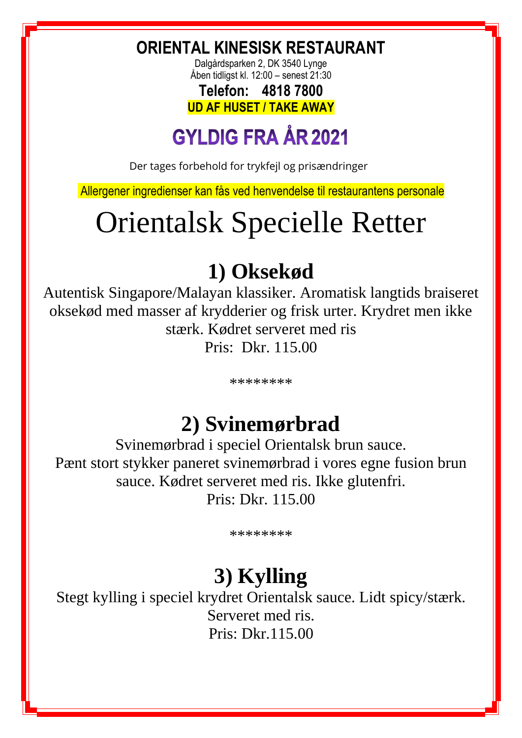**ORIENTAL KINESISK RESTAURANT**

Dalgårdsparken 2, DK 3540 Lynge Åben tidligst kl. 12:00 – senest 21:30

**Telefon: 4818 7800 UD AF HUSET / TAKE AWAY**

# **GYLDIG FRA ÅR 2021**

Der tages forbehold for trykfejl og prisændringer

Allergener ingredienser kan fås ved henvendelse til restaurantens personale

# Orientalsk Specielle Retter

# **1) Oksekød**

Autentisk Singapore/Malayan klassiker. Aromatisk langtids braiseret oksekød med masser af krydderier og frisk urter. Krydret men ikke stærk. Kødret serveret med ris Pris: Dkr. 115.00

\*\*\*\*\*\*\*\*

# **2) Svinemørbrad**

Svinemørbrad i speciel Orientalsk brun sauce. Pænt stort stykker paneret svinemørbrad i vores egne fusion brun sauce. Kødret serveret med ris. Ikke glutenfri. Pris: Dkr. 115.00

\*\*\*\*\*\*\*\*

## **3) Kylling**

Stegt kylling i speciel krydret Orientalsk sauce. Lidt spicy/stærk. Serveret med ris. Pris: Dkr.115.00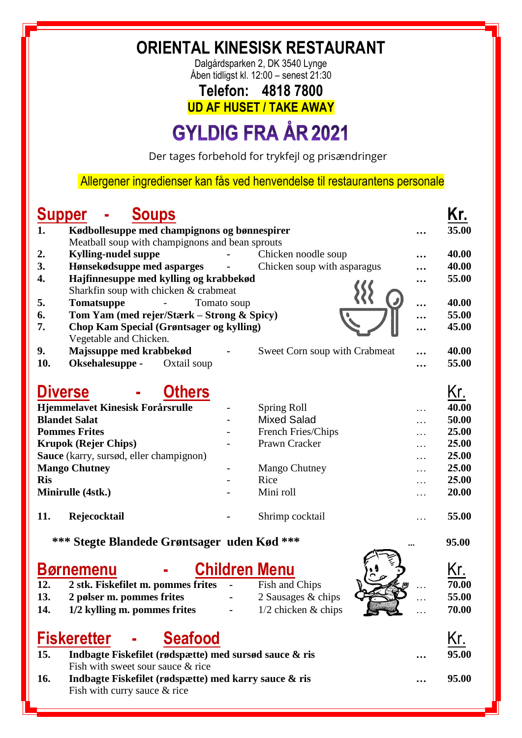**ORIENTAL KINESISK RESTAURANT**

Dalgårdsparken 2, DK 3540 Lynge Åben tidligst kl. 12:00 – senest 21:30

#### **Telefon: 4818 7800 UD AF HUSET / TAKE AWAY**

# **GYLDIG FRA ÅR 2021**

Der tages forbehold for trykfejl og prisændringer

Allergener ingredienser kan fås ved henvendelse til restaurantens personale

#### **Supper - Soups Kr.**

| 1.         | Kødbollesuppe med champignons og bønnespirer    |                                      |                               |   | 35.00 |
|------------|-------------------------------------------------|--------------------------------------|-------------------------------|---|-------|
|            | Meatball soup with champignons and bean sprouts |                                      |                               |   |       |
| 2.         | <b>Kylling-nudel suppe</b>                      | $\bullet$ . The set of $\mathcal{O}$ | Chicken noodle soup           |   | 40.00 |
| 3.         | Hønsekødsuppe med asparges -                    |                                      | Chicken soup with asparagus   |   | 40.00 |
| 4.         | Hajfinnesuppe med kylling og krabbekød          |                                      |                               |   | 55.00 |
|            | Sharkfin soup with chicken & crabmeat           |                                      |                               |   |       |
| 5.         | <b>Tomatsuppe</b><br>$\sim 10^{11}$ m $^{-1}$   | Tomato soup                          |                               |   | 40.00 |
| 6.         | Tom Yam (med rejer/Stærk – Strong & Spicy)      |                                      |                               |   | 55.00 |
| 7.         | <b>Chop Kam Special (Grøntsager og kylling)</b> |                                      |                               |   | 45.00 |
|            | Vegetable and Chicken.                          |                                      |                               |   |       |
| 9.         | Majssuppe med krabbekød                         |                                      | Sweet Corn soup with Crabmeat |   | 40.00 |
| 10.        | Oksehalesuppe -<br>Oxtail soup                  |                                      |                               |   | 55.00 |
|            |                                                 |                                      |                               |   |       |
|            | <b>Others</b><br><b>Diverse</b>                 |                                      |                               |   | Kr.   |
|            | Hjemmelavet Kinesisk Forårsrulle                |                                      | Spring Roll                   |   | 40.00 |
|            | <b>Blandet Salat</b>                            |                                      | <b>Mixed Salad</b>            |   | 50.00 |
|            | <b>Pommes Frites</b>                            |                                      | French Fries/Chips            | . | 25.00 |
|            | <b>Krupok (Rejer Chips)</b>                     |                                      | Prawn Cracker                 |   | 25.00 |
|            | Sauce (karry, sursød, eller champignon)         |                                      |                               |   | 25.00 |
|            | <b>Mango Chutney</b>                            |                                      | Mango Chutney                 | . | 25.00 |
| <b>Ris</b> |                                                 |                                      | Rice                          | . | 25.00 |
|            | Minirulle (4stk.)                               |                                      | Mini roll                     |   | 20.00 |
| 11.        | Rejecocktail                                    |                                      | Shrimp cocktail               |   | 55.00 |
|            | *** Stegte Blandede Grøntsager uden Kød ***     |                                      |                               |   | 95.00 |
|            | Børnemenu                                       |                                      | <b>Children Menu</b>          |   | Kr.   |

| 12. | 2 stk. Fiskefilet m. pommes frites - |        | Fish and Chips        | $\frac{1}{2}$  |          | 70.00 |
|-----|--------------------------------------|--------|-----------------------|----------------|----------|-------|
| 13. | 2 pølser m. pommes frites            |        | 2 Sausages & chips    |                | $\cdots$ | 55.00 |
| 14. | 1/2 kylling m. pommes frites         | $\sim$ | $1/2$ chicken & chips | <b>READERS</b> | $\ddots$ | 70.00 |

|     | Fiskeretter -<br><b>Seafood</b>                        |           | Kr.   |
|-----|--------------------------------------------------------|-----------|-------|
| 15. | Indbagte Fiskefilet (rødspætte) med sursød sauce & ris | $\ddotsc$ | 95.00 |
|     | Fish with sweet sour sauce & rice                      |           |       |
| 16. | Indbagte Fiskefilet (rødspætte) med karry sauce & ris  | $\ddotsc$ | 95.00 |
|     | Fish with curry sauce $&$ rice                         |           |       |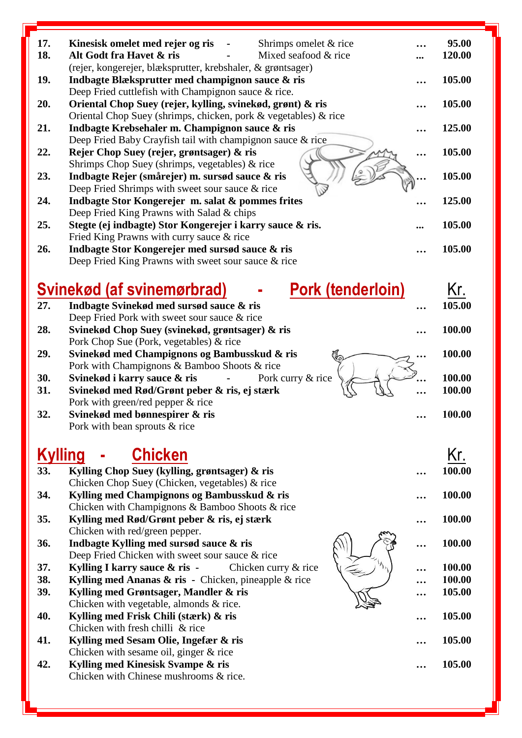| 17.                   | Kinesisk omelet med rejer og ris<br>Shrimps omelet & rice<br>$\blacksquare$                                       | 95.00  |
|-----------------------|-------------------------------------------------------------------------------------------------------------------|--------|
| 18.                   | Alt Godt fra Havet & ris<br>Mixed seafood & rice                                                                  | 120.00 |
|                       | (rejer, kongerejer, blæksprutter, krebshaler, & grøntsager)                                                       |        |
| 19.                   | Indbagte Blæksprutter med champignon sauce & ris                                                                  | 105.00 |
|                       | Deep Fried cuttlefish with Champignon sauce & rice.                                                               |        |
| 20.                   | Oriental Chop Suey (rejer, kylling, svinekød, grønt) & ris                                                        | 105.00 |
|                       | Oriental Chop Suey (shrimps, chicken, pork & vegetables) & rice<br>Indbagte Krebsehaler m. Champignon sauce & ris | 125.00 |
| 21.                   | Deep Fried Baby Crayfish tail with champignon sauce & rice                                                        |        |
| 22.                   | Rejer Chop Suey (rejer, grøntsager) & ris                                                                         | 105.00 |
|                       | Shrimps Chop Suey (shrimps, vegetables) & rice                                                                    |        |
| 23.                   | Indbagte Rejer (smårejer) m. sursød sauce & ris                                                                   | 105.00 |
|                       | Deep Fried Shrimps with sweet sour sauce & rice                                                                   |        |
| 24.                   | Indbagte Stor Kongerejer m. salat & pommes frites                                                                 | 125.00 |
|                       | Deep Fried King Prawns with Salad & chips                                                                         |        |
| 25.                   | Stegte (ej indbagte) Stor Kongerejer i karry sauce & ris.                                                         | 105.00 |
|                       | Fried King Prawns with curry sauce & rice                                                                         |        |
| 26.                   | Indbagte Stor Kongerejer med sursød sauce & ris                                                                   | 105.00 |
|                       | Deep Fried King Prawns with sweet sour sauce & rice                                                               |        |
|                       |                                                                                                                   |        |
|                       | <b>Pork (tenderloin)</b><br>Svinekød (af svinemørbrad)                                                            | Kr.    |
| 27.                   | Indbagte Svinekød med sursød sauce & ris                                                                          | 105.00 |
|                       | Deep Fried Pork with sweet sour sauce & rice                                                                      |        |
| 28.                   | Svinekød Chop Suey (svinekød, grøntsager) & ris                                                                   | 100.00 |
|                       | Pork Chop Sue (Pork, vegetables) & rice                                                                           |        |
| 29.                   | Svinekød med Champignons og Bambusskud & ris<br>∕⊙                                                                | 100.00 |
|                       | Pork with Champignons & Bamboo Shoots & rice                                                                      |        |
| 30.                   | Svinekød i karry sauce & ris<br>Pork curry & rice                                                                 | 100.00 |
| 31.                   | Svinekød med Rød/Grønt peber & ris, ej stærk                                                                      | 100.00 |
|                       | Pork with green/red pepper $&$ rice                                                                               |        |
| 32.                   | Svinekød med bønnespirer & ris                                                                                    | 100.00 |
|                       | Pork with bean sprouts & rice                                                                                     |        |
|                       |                                                                                                                   |        |
|                       |                                                                                                                   |        |
|                       | <b>Chicken</b>                                                                                                    | Kr.    |
| <b>Kylling</b><br>33. |                                                                                                                   | 100.00 |
|                       | Kylling Chop Suey (kylling, grøntsager) & ris<br>Chicken Chop Suey (Chicken, vegetables) & rice                   |        |
| 34.                   | Kylling med Champignons og Bambusskud & ris                                                                       | 100.00 |
|                       | Chicken with Champignons & Bamboo Shoots & rice                                                                   |        |
| 35.                   | Kylling med Rød/Grønt peber & ris, ej stærk                                                                       | 100.00 |
|                       | Chicken with red/green pepper.                                                                                    |        |
| 36.                   | Indbagte Kylling med sursød sauce & ris                                                                           | 100.00 |
|                       | Deep Fried Chicken with sweet sour sauce & rice                                                                   |        |
| 37.                   | $\Delta^{\prime}$<br>Kylling I karry sauce & ris -<br>Chicken curry & rice                                        | 100.00 |
| 38.                   | Kylling med Ananas $\&$ ris - Chicken, pineapple $\&$ rice                                                        | 100.00 |
| 39.                   | Kylling med Grøntsager, Mandler & ris                                                                             | 105.00 |
|                       | Chicken with vegetable, almonds & rice.                                                                           |        |
| 40.                   | Kylling med Frisk Chili (stærk) & ris                                                                             | 105.00 |
|                       | Chicken with fresh chilli & rice                                                                                  |        |
| 41.                   | Kylling med Sesam Olie, Ingefær & ris<br>Chicken with sesame oil, ginger $&$ rice                                 | 105.00 |
| 42.                   | Kylling med Kinesisk Svampe & ris                                                                                 | 105.00 |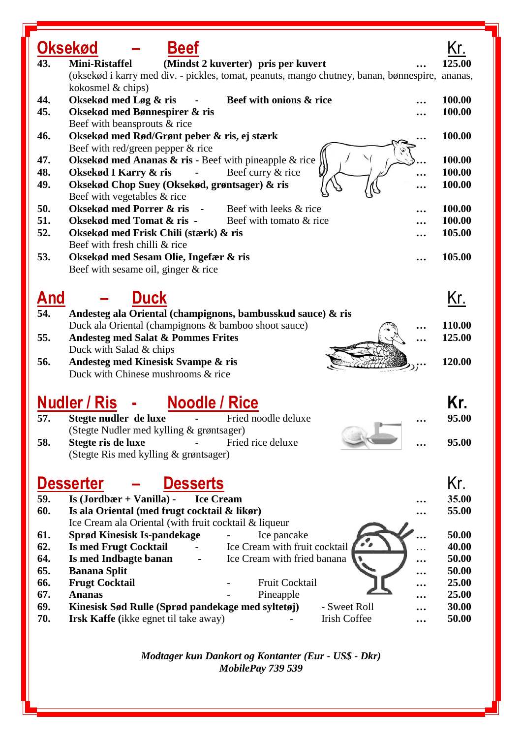|     | Oksekød<br>Beef                                                                        |         |
|-----|----------------------------------------------------------------------------------------|---------|
| 43. | <b>Mini-Ristaffel</b><br>(Mindst 2 kuverter) pris per kuvert                           | 125.00  |
|     | (oksekød i karry med div. - pickles, tomat, peanuts, mango chutney, banan, bønnespire, | ananas, |
|     | kokosmel & chips)                                                                      |         |
| 44. | Oksekød med Løg & ris<br>Beef with onions & rice                                       | 100.00  |
| 45. | Oksekød med Bønnespirer & ris                                                          | 100.00  |
|     | Beef with beansprouts & rice                                                           |         |
| 46. | Oksekød med Rød/Grønt peber & ris, ej stærk                                            | 100.00  |
|     | Beef with red/green pepper & rice                                                      |         |
| 47. | Oksekød med Ananas $\&$ ris - Beef with pineapple $\&$ rice                            | 100.00  |
| 48. | Beef curry & rice<br>Oksekød I Karry & ris                                             | 100.00  |
| 49. | Oksekød Chop Suey (Oksekød, grøntsager) & ris                                          | 100.00  |
|     | Beef with vegetables & rice                                                            |         |
| 50. | Oksekød med Porrer & ris<br>Beef with leeks & rice<br>$\sim$ $\sim$                    | 100.00  |
| 51. | Oksekød med Tomat & ris -<br>Beef with tomato & rice                                   | 100.00  |
| 52. | Oksekød med Frisk Chili (stærk) & ris                                                  | 105.00  |
|     | Beef with fresh chilli & rice                                                          |         |
| 53. | Oksekød med Sesam Olie, Ingefær & ris                                                  | 105.00  |
|     | Beef with sesame oil, ginger & rice                                                    |         |
|     |                                                                                        |         |
| And | <b>Duck</b>                                                                            | Kr.     |
| 54. | Andesteg ala Oriental (champignons, bambusskud sauce) & ris                            |         |
|     | Duck ala Oriental (champignons & bamboo shoot sauce)                                   | 110.00  |
| 55. | <b>Andesteg med Salat &amp; Pommes Frites</b>                                          | 125.00  |
|     | Duck with Salad & chips                                                                |         |
| 56. | Andesteg med Kinesisk Svampe & ris                                                     | 120.00  |
|     | Duck with Chinese mushrooms & rice                                                     |         |
|     |                                                                                        |         |
|     | <b>Nudler / Ris</b><br><b>Noodle / Rice</b>                                            | Kr.     |
|     |                                                                                        |         |
| 57. | Stegte nudler de luxe<br>Fried noodle deluxe                                           | 95.00   |
|     | (Stegte Nudler med kylling & grøntsager)                                               |         |
| 58. | Stegte ris de luxe<br>Fried rice deluxe                                                | 95.00   |
|     | (Stegte Ris med kylling & grøntsager)                                                  |         |
|     |                                                                                        |         |
|     | <b>Desserts</b><br><b>Desserter</b>                                                    | Kr.     |
| 59. | <b>Ice Cream</b><br>Is $(Jordbær + Vanilla)$ -                                         | 35.00   |
| 60. | Is ala Oriental (med frugt cocktail & likør)                                           | 55.00   |
|     | Ice Cream ala Oriental (with fruit cocktail & liqueur                                  |         |
| 61. | Sprød Kinesisk Is-pandekage<br>Ice pancake                                             | 50.00   |
| 62. | <b>Is med Frugt Cocktail</b><br>Ice Cream with fruit cocktail                          | 40.00   |
| 64. | Is med Indbagte banan<br>Ice Cream with fried banana<br>                               | 50.00   |
| 65. | <b>Banana Split</b><br>$\ddot{\phantom{0}}\cdot$                                       | 50.00   |
| 66. | Fruit Cocktail<br><b>Frugt Cocktail</b>                                                | 25.00   |
| 67. | <b>Ananas</b><br>Pineapple                                                             | 25.00   |
| 69. | Kinesisk Sød Rulle (Sprød pandekage med syltetøj)<br>- Sweet Roll                      | 30.00   |
| 70. | <b>Irish Coffee</b><br><b>Irsk Kaffe</b> (ikke egnet til take away)                    | 50.00   |
|     |                                                                                        |         |

*Modtager kun Dankort og Kontanter (Eur - US\$ - Dkr) MobilePay 739 539*